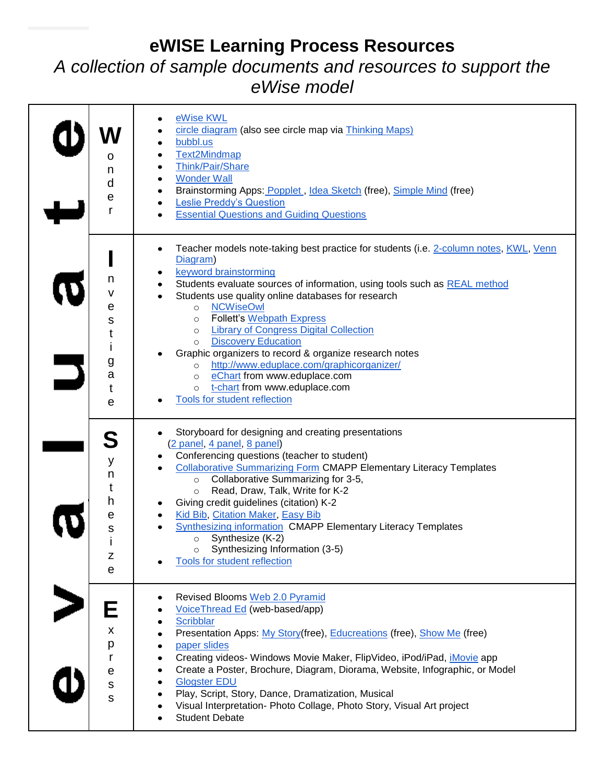## **eWISE Learning Process Resources** *A collection of sample documents and resources to support the*

*eWise model*

| O<br>n<br>d<br>е<br>r                                     | eWise KWL<br>٠<br>circle diagram (also see circle map via Thinking Maps)<br>bubbl.us<br>$\bullet$<br><b>Text2Mindmap</b><br>٠<br>Think/Pair/Share<br>$\bullet$<br><b>Wonder Wall</b><br>٠<br>Brainstorming Apps: Popplet, Idea Sketch (free), Simple Mind (free)<br>٠<br><b>Leslie Preddy's Question</b><br>٠<br><b>Essential Questions and Guiding Questions</b>                                                                                                                                                                                                                                                                                                                                                |
|-----------------------------------------------------------|------------------------------------------------------------------------------------------------------------------------------------------------------------------------------------------------------------------------------------------------------------------------------------------------------------------------------------------------------------------------------------------------------------------------------------------------------------------------------------------------------------------------------------------------------------------------------------------------------------------------------------------------------------------------------------------------------------------|
| n<br>v<br>е<br>s<br>t<br>İ<br>g<br>a<br>t<br>e            | Teacher models note-taking best practice for students (i.e. 2-column notes, KWL, Venn<br>٠<br>Diagram)<br>keyword brainstorming<br>٠<br>Students evaluate sources of information, using tools such as REAL method<br>$\bullet$<br>Students use quality online databases for research<br><b>NCWiseOwl</b><br>$\circ$<br><b>Follett's Webpath Express</b><br>$\circ$<br><b>Library of Congress Digital Collection</b><br>$\circ$<br><b>Discovery Education</b><br>$\circ$<br>Graphic organizers to record & organize research notes<br>http://www.eduplace.com/graphicorganizer/<br>$\circ$<br>eChart from www.eduplace.com<br>$\circ$<br>t-chart from www.eduplace.com<br>$\circ$<br>Tools for student reflection |
| у<br>n<br>t<br>h<br>e<br>s<br>$\mathsf Z$<br>$\mathsf{e}$ | Storyboard for designing and creating presentations<br>(2 panel, 4 panel, 8 panel)<br>Conferencing questions (teacher to student)<br><b>Collaborative Summarizing Form CMAPP Elementary Literacy Templates</b><br>Collaborative Summarizing for 3-5,<br>$\circ$<br>Read, Draw, Talk, Write for K-2<br>$\circ$<br>Giving credit guidelines (citation) K-2<br>Kid Bib, Citation Maker, Easy Bib<br><b>Synthesizing information CMAPP Elementary Literacy Templates</b><br>Synthesize (K-2)<br>$\circ$<br>Synthesizing Information (3-5)<br>Tools for student reflection                                                                                                                                            |
| Е<br>X<br>р<br>$\mathsf r$<br>е<br>${\sf s}$<br>S         | Revised Blooms Web 2.0 Pyramid<br>VoiceThread Ed (web-based/app)<br>٠<br><b>Scribblar</b><br>٠<br>Presentation Apps: My Story(free), Educreations (free), Show Me (free)<br>$\bullet$<br>paper slides<br>٠<br>Creating videos- Windows Movie Maker, FlipVideo, iPod/iPad, iMovie app<br>$\bullet$<br>Create a Poster, Brochure, Diagram, Diorama, Website, Infographic, or Model<br>٠<br><b>Glogster EDU</b><br>Play, Script, Story, Dance, Dramatization, Musical<br>Visual Interpretation- Photo Collage, Photo Story, Visual Art project<br><b>Student Debate</b>                                                                                                                                             |